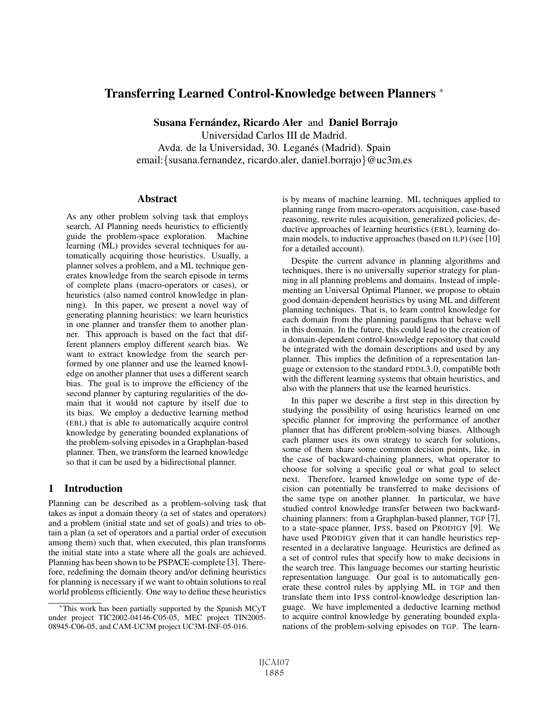# Transferring Learned Control-Knowledge between Planners <sup>∗</sup>

Susana Fernández, Ricardo Aler and Daniel Borrajo

Universidad Carlos III de Madrid. Avda. de la Universidad, 30. Leganés (Madrid). Spain email:{susana.fernandez, ricardo.aler, daniel.borrajo}@uc3m.es

#### Abstract

As any other problem solving task that employs search, AI Planning needs heuristics to efficiently guide the problem-space exploration. Machine learning (ML) provides several techniques for automatically acquiring those heuristics. Usually, a planner solves a problem, and a ML technique generates knowledge from the search episode in terms of complete plans (macro-operators or cases), or heuristics (also named control knowledge in planning). In this paper, we present a novel way of generating planning heuristics: we learn heuristics in one planner and transfer them to another planner. This approach is based on the fact that different planners employ different search bias. We want to extract knowledge from the search performed by one planner and use the learned knowledge on another planner that uses a different search bias. The goal is to improve the efficiency of the second planner by capturing regularities of the domain that it would not capture by itself due to its bias. We employ a deductive learning method (EBL) that is able to automatically acquire control knowledge by generating bounded explanations of the problem-solving episodes in a Graphplan-based planner. Then, we transform the learned knowledge so that it can be used by a bidirectional planner.

## 1 Introduction

Planning can be described as a problem-solving task that takes as input a domain theory (a set of states and operators) and a problem (initial state and set of goals) and tries to obtain a plan (a set of operators and a partial order of execution among them) such that, when executed, this plan transforms the initial state into a state where all the goals are achieved. Planning has been shown to be PSPACE-complete [3]. Therefore, redefining the domain theory and/or defining heuristics for planning is necessary if we want to obtain solutions to real world problems efficiently. One way to define these heuristics is by means of machine learning. ML techniques applied to planning range from macro-operators acquisition, case-based reasoning, rewrite rules acquisition, generalized policies, deductive approaches of learning heuristics (EBL), learning domain models, to inductive approaches (based on ILP) (see [10] for a detailed account).

Despite the current advance in planning algorithms and techniques, there is no universally superior strategy for planning in all planning problems and domains. Instead of implementing an Universal Optimal Planner, we propose to obtain good domain-dependent heuristics by using ML and different planning techniques. That is, to learn control knowledge for each domain from the planning paradigms that behave well in this domain. In the future, this could lead to the creation of a domain-dependent control-knowledge repository that could be integrated with the domain descriptions and used by any planner. This implies the definition of a representation language or extension to the standard PDDL3.0, compatible both with the different learning systems that obtain heuristics, and also with the planners that use the learned heuristics.

In this paper we describe a first step in this direction by studying the possibility of using heuristics learned on one specific planner for improving the performance of another planner that has different problem-solving biases. Although each planner uses its own strategy to search for solutions, some of them share some common decision points, like, in the case of backward-chaining planners, what operator to choose for solving a specific goal or what goal to select next. Therefore, learned knowledge on some type of decision can potentially be transferred to make decisions of the same type on another planner. In particular, we have studied control knowledge transfer between two backwardchaining planners: from a Graphplan-based planner, TGP [7], to a state-space planner, IPSS, based on PRODIGY [9]. We have used PRODIGY given that it can handle heuristics represented in a declarative language. Heuristics are defined as a set of control rules that specify how to make decisions in the search tree. This language becomes our starting heuristic representation language. Our goal is to automatically generate these control rules by applying ML in TGP and then translate them into IPSS control-knowledge description language. We have implemented a deductive learning method to acquire control knowledge by generating bounded explanations of the problem-solving episodes on TGP. The learn-

<sup>∗</sup>This work has been partially supported by the Spanish MCyT under project TIC2002-04146-C05-05, MEC project TIN2005- 08945-C06-05, and CAM-UC3M project UC3M-INF-05-016.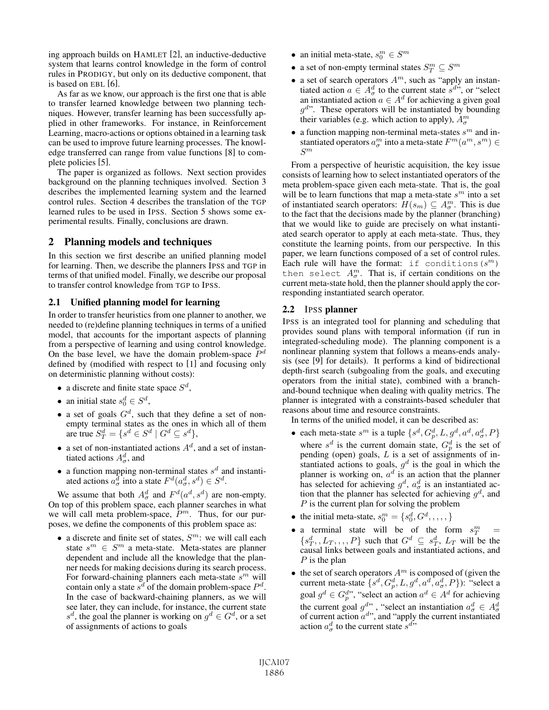ing approach builds on HAMLET [2], an inductive-deductive system that learns control knowledge in the form of control rules in PRODIGY, but only on its deductive component, that is based on EBL [6].

As far as we know, our approach is the first one that is able to transfer learned knowledge between two planning techniques. However, transfer learning has been successfully applied in other frameworks. For instance, in Reinforcement Learning, macro-actions or options obtained in a learning task can be used to improve future learning processes. The knowledge transferred can range from value functions [8] to complete policies [5].

The paper is organized as follows. Next section provides background on the planning techniques involved. Section 3 describes the implemented learning system and the learned control rules. Section 4 describes the translation of the TGP learned rules to be used in IPSS. Section 5 shows some experimental results. Finally, conclusions are drawn.

## 2 Planning models and techniques

In this section we first describe an unified planning model for learning. Then, we describe the planners IPSS and TGP in terms of that unified model. Finally, we describe our proposal to transfer control knowledge from TGP to IPSS.

## 2.1 Unified planning model for learning

In order to transfer heuristics from one planner to another, we needed to (re)define planning techniques in terms of a unified model, that accounts for the important aspects of planning from a perspective of learning and using control knowledge. On the base level, we have the domain problem-space  $P<sup>d</sup>$ defined by (modified with respect to [1] and focusing only on deterministic planning without costs):

- a discrete and finite state space  $S^d$ ,
- an initial state  $s_0^d \in S^d$ ,
- a set of goals  $G<sup>d</sup>$ , such that they define a set of nonempty terminal states as the ones in which all of them are true  $S_T^d = \{ s^d \in S^d \mid G^d \subseteq s^d \},$
- a set of non-instantiated actions  $A<sup>d</sup>$ , and a set of instantiated actions  $A^d_\sigma$ , and
- a function mapping non-terminal states  $s^d$  and instantiated actions  $a_{\sigma}^d$  into a state  $F^d(a_{\sigma}^d, s^d) \in S^d$ .

We assume that both  $A^d_{\sigma}$  and  $F^d(a^d, s^d)$  are non-empty.<br>Let top of this problem space, each planner searches in what On top of this problem space, each planner searches in what we will call meta problem-space,  $P<sup>m</sup>$ . Thus, for our purposes, we define the components of this problem space as:

• a discrete and finite set of states,  $S<sup>m</sup>$ : we will call each state  $s^m \in S^m$  a meta-state. Meta-states are planner dependent and include all the knowledge that the planner needs for making decisions during its search process. For forward-chaining planners each meta-state  $s^m$  will contain only a state  $s^d$  of the domain problem-space  $P^d$ . In the case of backward-chaining planners, as we will see later, they can include, for instance, the current state  $s^d$ , the goal the planner is working on  $g^d \in G^d$ , or a set of assignments of actions to goals

- an initial meta-state,  $s_0^m \in S^m$
- a set of non-empty terminal states  $S_T^m \subseteq S^m$
- a set of search operators  $A^m$ , such as "apply an instantiated action  $a \in A^d$  to the current state  $s^d$ " or "select tiated action  $a \in A^d_\sigma$  to the current state  $s^{d,s}$ , or "select<br>an instantiated action  $a \in A^d$  for achieving a given goal an instantiated action  $a \in A^d$  for achieving a given goal  $q^{d}$ . These operators will be instantiated by bounding their variables (e.g. which action to apply),  $A_{\sigma}^{m}$
- a function mapping non-terminal meta-states  $s<sup>m</sup>$  and instantiated operators  $a_{\sigma}^{m}$  into a meta-state  $F^{m}(a^{m}, s^{m}) \in S^{m}$  $\mathcal{S}^m$

From a perspective of heuristic acquisition, the key issue consists of learning how to select instantiated operators of the meta problem-space given each meta-state. That is, the goal will be to learn functions that map a meta-state  $s^m$  into a set of instantiated search operators:  $H(s_m) \subseteq A_{\sigma}^m$ . This is due<br>to the fact that the decisions made by the planner (branching) to the fact that the decisions made by the planner (branching) that we would like to guide are precisely on what instantiated search operator to apply at each meta-state. Thus, they constitute the learning points, from our perspective. In this paper, we learn functions composed of a set of control rules. Each rule will have the format: if conditions  $(s^m)$ then select  $A_{\sigma}^{m}$ . That is, if certain conditions on the current meta-state hold then the planner should apply the corcurrent meta-state hold, then the planner should apply the corresponding instantiated search operator.

#### 2.2 IPSS planner

IPSS is an integrated tool for planning and scheduling that provides sound plans with temporal information (if run in integrated-scheduling mode). The planning component is a nonlinear planning system that follows a means-ends analysis (see [9] for details). It performs a kind of bidirectional depth-first search (subgoaling from the goals, and executing operators from the initial state), combined with a branchand-bound technique when dealing with quality metrics. The planner is integrated with a constraints-based scheduler that reasons about time and resource constraints.

In terms of the unified model, it can be described as:

- each meta-state  $s^m$  is a tuple  $\{s^d, G_p^d, L, g^d, a^d, a^d, P\}$ <br>where  $s^d$  is the current demain state.  $G^d$  is the get of where  $s^d$  is the current domain state,  $G_p^d$  is the set of pending (open) goals L is a set of assignments of inpending (open) goals,  $L$  is a set of assignments of instantiated actions to goals,  $g<sup>d</sup>$  is the goal in which the planner is working on,  $a^d$  is an action that the planner has selected for achieving  $g^d$ ,  $a^d_\sigma$  is an instantiated action that the planner has selected for achieving  $a^d$  and tion that the planner has selected for achieving  $g<sup>d</sup>$ , and P is the current plan for solving the problem
- the initial meta-state,  $s_0^m = \{s_0^d, G^d, , , , , \}$
- a terminal state will be of the form  $s_T^m =$ <br> $\int_{c}^{d} I_{\infty} = P \}$  such that  $C^d \subset c^d \subset I_{\infty}$  will be the  $\{s_T^d, L_T, \ldots, P\}$  such that  $G^d \subseteq s_T^d, L_T$  will be the causal links between goals and instantiated actions and causal links between goals and instantiated actions, and
- *P* is the plan<br>
 the set of search operators  $A^m$  is composed of (given the • the set of search operators  $A^m$  is composed of (given the current meta-state  $\{s^d, G^d, L, a^d, a^d, a^d, P\}$ ); "select a current meta-state  $\{s^d, G^d, L, g^d, a^d, a^d, P\}$ ): "select a<br>scel  $g^d \in G^{d}$ " "select an estion  $g^d \in A^d$  for estiming goal  $g^d \in G_p^{d}$ ", "select an action  $a^d \in A^d$  for achieving<br>the survent goal  $g^d$ ", "select an instantiation  $g^d \subset A^d$ the current goal  $g^{d\prime\prime}$ , "select an instantiation  $a^d_\sigma \in A^d_\sigma$ <br>of current action  $a^{d\prime}$ , and "apply the current instantiated<br>action  $a^d$  to the current state  $s^{d\prime\prime}$ . action  $a^d_\sigma$  to the current state  $s^{d}$ .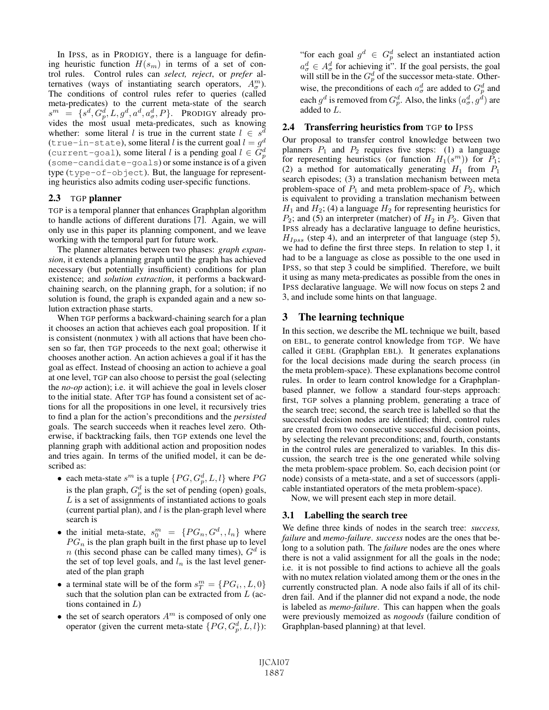In IPSS, as in PRODIGY, there is a language for defining heuristic function  $H(s_m)$  in terms of a set of control rules. Control rules can *select, reject*, or *prefer* alternatives (ways of instantiating search operators,  $A_{\sigma}^{m}$ ).<br>The conditions of control rules refer to queries (called The conditions of control rules refer to queries (called meta-predicates) to the current meta-state of the search  $s^m = \{s^d, G_p^d, L, g^d, a^d, a^d, P\}.$  PRODIGY already pro-<br>vides the most usual meta-predicates such as knowing vides the most usual meta-predicates, such as knowing whether: some literal l is true in the current state  $l \in s$ (true-in-state), some literal l is the current goal  $l = g<sup>d</sup>$ (current-goal), some literal l is a pending goal  $l \in \tilde{G}_{p}^{d}$ <br>(some-candidate-goals) or some instance is of a given (some-candidate-goals) or some instance is of a given type (type-of-object). But, the language for representing heuristics also admits coding user-specific functions.

#### 2.3 TGP planner

TGP is a temporal planner that enhances Graphplan algorithm to handle actions of different durations [7]. Again, we will only use in this paper its planning component, and we leave working with the temporal part for future work.

The planner alternates between two phases: *graph expansion*, it extends a planning graph until the graph has achieved necessary (but potentially insufficient) conditions for plan existence; and *solution extraction*, it performs a backwardchaining search, on the planning graph, for a solution; if no solution is found, the graph is expanded again and a new solution extraction phase starts.

When TGP performs a backward-chaining search for a plan it chooses an action that achieves each goal proposition. If it is consistent (nonmutex ) with all actions that have been chosen so far, then TGP proceeds to the next goal; otherwise it chooses another action. An action achieves a goal if it has the goal as effect. Instead of choosing an action to achieve a goal at one level, TGP can also choose to persist the goal (selecting the *no-op* action); i.e. it will achieve the goal in levels closer to the initial state. After TGP has found a consistent set of actions for all the propositions in one level, it recursively tries to find a plan for the action's preconditions and the *persisted* goals. The search succeeds when it reaches level zero. Otherwise, if backtracking fails, then TGP extends one level the planning graph with additional action and proposition nodes and tries again. In terms of the unified model, it can be described as:

- each meta-state  $s^m$  is a tuple  $\{PG, G_p^d, L, l\}$  where  $PG$ is the plan graph,  $G_p^d$  is the set of pending (open) goals, <br>*L* is a set of assignments of instantiated actions to goals  $L$  is a set of assignments of instantiated actions to goals (current partial plan), and  $l$  is the plan-graph level where search is
- the initial meta-state,  $s_0^m = \{PG_n, G^d, l_n\}$  where  $PG_n$  is the plan graph built in the first phase up to level  $PG_n$  is the plan graph built in the first phase up to level  $n$  (this second phase can be called many times)  $G^d$  is n (this second phase can be called many times),  $G<sup>d</sup>$  is the set of top level goals, and  $l_n$  is the last level generated of the plan graph
- a terminal state will be of the form  $s_T^m = \{PG_i, L, 0\}$ <br>such that the solution plan can be extracted from L (acsuch that the solution plan can be extracted from  $L$  (actions contained in  $L$ )
- $\bullet$  the set of search operators  $A^m$  is composed of only one operator (given the current meta-state  $\{PG, G_p^d, L, l\}$ ):

"for each goal  $g^d \text{ } \in G_p^d$  select an instantiated action"<br> $g^d \text{ } \in A_q^d$  for sobjecting it". If the goal persists, the goal  $a_{\sigma}^{d} \in A_{\sigma}^{d}$  for achieving it". If the goal persists, the goal<br>will still be in the  $G_{\sigma}^{d}$  of the successor meta-state. Other-<br>wise, the greesenditions of each  $_{\sigma}^{d}$  are added to  $G_{\sigma}^{d}$  and wise, the preconditions of each  $a^d$  are added to  $G_p^d$  and<br>case  $g^d$  is remayed from  $G^d$ . Also, the links  $(a^d, a^d)$  are each  $g^d$  is removed from  $G_p^d$ . Also, the links  $(a^d_\sigma, g^d)$  are added to L added to L.

#### 2.4 Transferring heuristics from TGP to IPSS

Our proposal to transfer control knowledge between two planners  $P_1$  and  $P_2$  requires five steps: (1) a language for representing heuristics (or function  $H_1(s^m)$ ) for  $P_1$ ; (2) a method for automatically generating  $H_1$  from  $P_1$ search episodes; (3) a translation mechanism between meta problem-space of  $P_1$  and meta problem-space of  $P_2$ , which is equivalent to providing a translation mechanism between  $H_1$  and  $H_2$ ; (4) a language  $H_2$  for representing heuristics for  $P_2$ ; and (5) an interpreter (matcher) of  $H_2$  in  $P_2$ . Given that IPSS already has a declarative language to define heuristics,  $H_{I_{DSS}}$  (step 4), and an interpreter of that language (step 5), we had to define the first three steps. In relation to step 1, it had to be a language as close as possible to the one used in IPSS, so that step 3 could be simplified. Therefore, we built it using as many meta-predicates as possible from the ones in IPSS declarative language. We will now focus on steps 2 and 3, and include some hints on that language.

### 3 The learning technique

In this section, we describe the ML technique we built, based on EBL, to generate control knowledge from TGP. We have called it GEBL (Graphplan EBL). It generates explanations for the local decisions made during the search process (in the meta problem-space). These explanations become control rules. In order to learn control knowledge for a Graphplanbased planner, we follow a standard four-steps approach: first, TGP solves a planning problem, generating a trace of the search tree; second, the search tree is labelled so that the successful decision nodes are identified; third, control rules are created from two consecutive successful decision points, by selecting the relevant preconditions; and, fourth, constants in the control rules are generalized to variables. In this discussion, the search tree is the one generated while solving the meta problem-space problem. So, each decision point (or node) consists of a meta-state, and a set of successors (applicable instantiated operators of the meta problem-space).

Now, we will present each step in more detail.

#### 3.1 Labelling the search tree

We define three kinds of nodes in the search tree: *success, failure* and *memo-failure*. *success* nodes are the ones that belong to a solution path. The *failure* nodes are the ones where there is not a valid assignment for all the goals in the node; i.e. it is not possible to find actions to achieve all the goals with no mutex relation violated among them or the ones in the currently constructed plan. A node also fails if all of its children fail. And if the planner did not expand a node, the node is labeled as *memo-failure*. This can happen when the goals were previously memoized as *nogoods* (failure condition of Graphplan-based planning) at that level.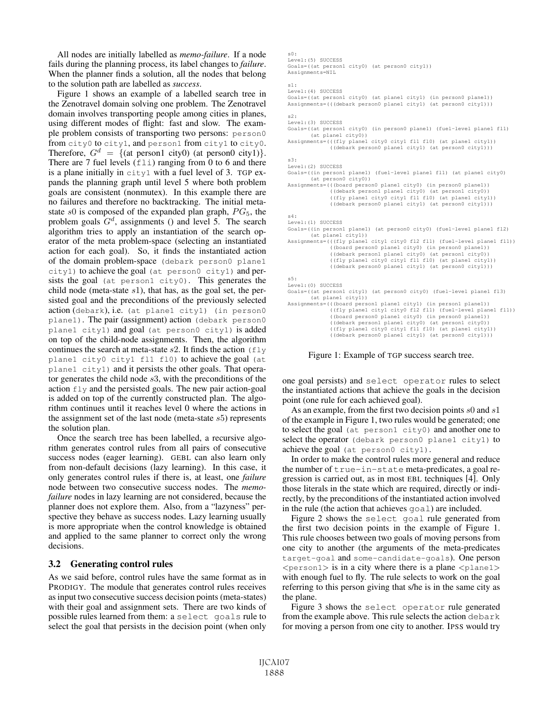All nodes are initially labelled as *memo-failure*. If a node fails during the planning process, its label changes to *failure*. When the planner finds a solution, all the nodes that belong to the solution path are labelled as *success*.

Figure 1 shows an example of a labelled search tree in the Zenotravel domain solving one problem. The Zenotravel domain involves transporting people among cities in planes, using different modes of flight: fast and slow. The example problem consists of transporting two persons: person0 from city0 to city1, and person1 from city1 to city0. Therefore,  $G^d = \{$ (at person1 city0) (at person0 city1) $\}.$ There are 7 fuel levels  $(fli)$  ranging from 0 to 6 and there is a plane initially in  $city1$  with a fuel level of 3. TGP expands the planning graph until level 5 where both problem goals are consistent (nonmutex). In this example there are no failures and therefore no backtracking. The initial metastate  $s0$  is composed of the expanded plan graph,  $PG_5$ , the problem goals  $G<sup>d</sup>$ , assignments () and level 5. The search algorithm tries to apply an instantiation of the search operator of the meta problem-space (selecting an instantiated action for each goal). So, it finds the instantiated action of the domain problem-space (debark person0 plane1 city1) to achieve the goal (at person0 city1) and persists the goal (at person1 city0). This generates the child node (meta-state  $s1$ ), that has, as the goal set, the persisted goal and the preconditions of the previously selected action (debark), i.e. (at plane1 city1) (in person0 plane1). The pair (assignment) action (debark person0 plane1 city1) and goal (at person0 city1) is added on top of the child-node assignments. Then, the algorithm continues the search at meta-state  $s2$ . It finds the action ( $fly$ plane1 city0 city1 fl1 fl0) to achieve the goal (at plane1 city1) and it persists the other goals. That operator generates the child node s3, with the preconditions of the action fly and the persisted goals. The new pair action-goal is added on top of the currently constructed plan. The algorithm continues until it reaches level 0 where the actions in the assignment set of the last node (meta-state  $s5$ ) represents the solution plan.

Once the search tree has been labelled, a recursive algorithm generates control rules from all pairs of consecutive success nodes (eager learning). GEBL can also learn only from non-default decisions (lazy learning). In this case, it only generates control rules if there is, at least, one *failure* node between two consecutive success nodes. The *memofailure* nodes in lazy learning are not considered, because the planner does not explore them. Also, from a "lazyness" perspective they behave as success nodes. Lazy learning usually is more appropriate when the control knowledge is obtained and applied to the same planner to correct only the wrong decisions.

## 3.2 Generating control rules

As we said before, control rules have the same format as in PRODIGY. The module that generates control rules receives as input two consecutive success decision points (meta-states) with their goal and assignment sets. There are two kinds of possible rules learned from them: a select goals rule to select the goal that persists in the decision point (when only

```
s0:
Level:(5) SUCCESS
Goals=((at person1 city0) (at person0 city1))
Assignments=NIL
s1:
Level:(4) SUCCESS
Goals=((at person1 city0) (at plane1 city1) (in person0 plane1))
Assignments=(((debark person0 plane1 city1) (at person0 city1)))
s2:
Level:(3) SUCCESS
Goals=((at person1 city0) (in person0 plane1) (fuel-level plane1 fl1)
       (at plane1 city0))
Assignments=(((fly plane1 city0 city1 fl1 fl0) (at plane1 city1))
              ((debark person0 plane1 city1) (at person0 city1)))
s3:
Level:(2) SUCCESS
Goals=((in person1 plane1) (fuel-level plane1 fl1) (at plane1 city0)
       (at person0 city0))
Assignments=(((board person0 plane1 city0) (in person0 plane1))
               ((debark person1 plane1 city0) (at person1 city0))
((fly plane1 city0 city1 fl1 fl0) (at plane1 city1))
              ((debark person0 plane1 city1) (at person0 city1)))
s4:
Level:(1) SUCCESS
Goals=((in person1 plane1) (at person0 city0) (fuel-level plane1 fl2)
       (at plane1 city1))
Assignments=(((fly plane1 city1 city0 fl2 fl1) (fuel-level plane1 fl1))
               ((board person0 plane1 city0) (in person0 plane1))
((debark person1 plane1 city0) (at person1 city0))
               ((fly plane1 city0 city1 fl1 fl0) (at plane1 city1))
              ((debark person0 plane1 city1) (at person0 city1)))
s5:
Level:(0) SUCCESS
Goals=((at person1 city1) (at person0 city0) (fuel-level plane1 fl3)
       (at plane1 city1))
Assignments=(((board person1 plane1 city1) (in person1 plane1))
              ((fly plane1 city1 city0 fl2 fl1) (fuel-level plane1 fl1))
               ((board person0 plane1 city0) (in person0 plane1))
((debark person1 plane1 city0) (at person1 city0))
              ((fly plane1 city0 city1 fl1 fl0) (at plane1 city1))
              ((debark person0 plane1 city1) (at person0 city1)))
```
Figure 1: Example of TGP success search tree.

one goal persists) and select operator rules to select the instantiated actions that achieve the goals in the decision point (one rule for each achieved goal).

As an example, from the first two decision points s0 and s1 of the example in Figure 1, two rules would be generated; one to select the goal (at person1 city0) and another one to select the operator (debark person0 plane1 city1) to achieve the goal (at person0 city1).

In order to make the control rules more general and reduce the number of true-in-state meta-predicates, a goal regression is carried out, as in most EBL techniques [4]. Only those literals in the state which are required, directly or indirectly, by the preconditions of the instantiated action involved in the rule (the action that achieves goal) are included.

Figure 2 shows the select goal rule generated from the first two decision points in the example of Figure 1. This rule chooses between two goals of moving persons from one city to another (the arguments of the meta-predicates target-goal and some-candidate-goals). One person  $\langle$  person1> is in a city where there is a plane  $\langle$  plane1> with enough fuel to fly. The rule selects to work on the goal referring to this person giving that s/he is in the same city as the plane.

Figure 3 shows the select operator rule generated from the example above. This rule selects the action debark for moving a person from one city to another. IPSS would try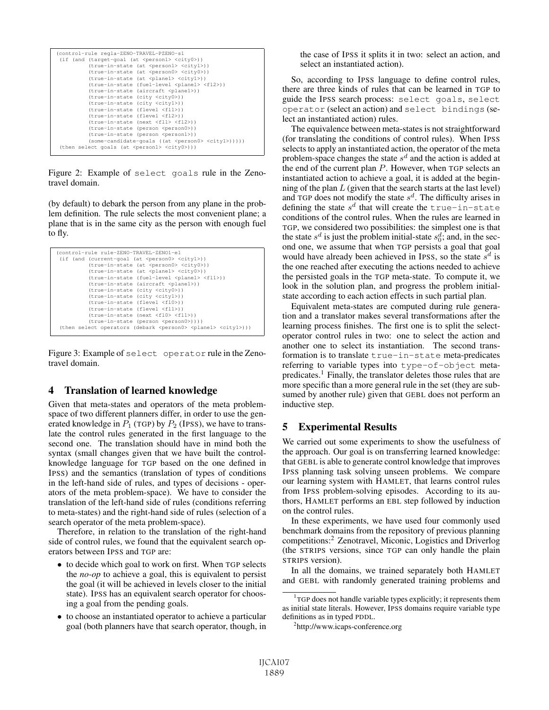| (control-rule regla-ZENO-TRAVEL-PZENO-s1                             |
|----------------------------------------------------------------------|
| (if (and (target-goal (at <person1> <city0>))</city0></person1>      |
| (true-in-state (at <person1> <city1>))</city1></person1>             |
| (true-in-state (at <person0> <city0>))</city0></person0>             |
| (true-in-state (at <plane1> <city1>))</city1></plane1>               |
| (true-in-state (fuel-level <plane1> <f12>))</f12></plane1>           |
| (true-in-state (aircraft <plane1>))</plane1>                         |
| (true-in-state (city <city0>))</city0>                               |
| (true-in-state (city <city1>))</city1>                               |
| (true-in-state (flevel <fl1>))</fl1>                                 |
| (true-in-state (flevel <fl2>))</fl2>                                 |
| (true-in-state (next <fl1> <fl2>))</fl2></fl1>                       |
| (true-in-state (person <person0>))</person0>                         |
| (true-in-state (person <person1>))</person1>                         |
| $(some-candidate-qoals$ ((at <person0> <city1>))))</city1></person0> |
| (then select goals (at <person1> <city0>)))</city0></person1>        |

Figure 2: Example of select goals rule in the Zenotravel domain.

(by default) to debark the person from any plane in the problem definition. The rule selects the most convenient plane; a plane that is in the same city as the person with enough fuel to fly.

```
(control-rule rule-ZENO-TRAVEL-ZENO1-e1
(if (and (current-goal (at <person0> <city1>))
           (true-in-state (at <person0> <city0>))
           (true-in-state (at <plane1> <city0>))
(true-in-state (fuel-level <plane1> <fl1>))
           (true-in-state (aircraft <plane1>))
           (true-in-state (city <city0>))
(true-in-state (city <city1>))
           (true-in-state (flevel <fl0>))
           (true-in-state (flevel <fl1>))
           (true-in-state (next <fl0> <fl1>))
           (true-in-state (person <person0>))))
(then select operators (debark <person0> <plane1> <city1>)))
```
Figure 3: Example of select operator rule in the Zenotravel domain.

## 4 Translation of learned knowledge

Given that meta-states and operators of the meta problemspace of two different planners differ, in order to use the generated knowledge in  $P_1$  (TGP) by  $P_2$  (IPSS), we have to translate the control rules generated in the first language to the second one. The translation should have in mind both the syntax (small changes given that we have built the controlknowledge language for TGP based on the one defined in IPSS) and the semantics (translation of types of conditions in the left-hand side of rules, and types of decisions - operators of the meta problem-space). We have to consider the translation of the left-hand side of rules (conditions referring to meta-states) and the right-hand side of rules (selection of a search operator of the meta problem-space).

Therefore, in relation to the translation of the right-hand side of control rules, we found that the equivalent search operators between IPSS and TGP are:

- to decide which goal to work on first. When TGP selects the *no-op* to achieve a goal, this is equivalent to persist the goal (it will be achieved in levels closer to the initial state). IPSS has an equivalent search operator for choosing a goal from the pending goals.
- to choose an instantiated operator to achieve a particular goal (both planners have that search operator, though, in

the case of IPSS it splits it in two: select an action, and select an instantiated action).

So, according to IPSS language to define control rules, there are three kinds of rules that can be learned in TGP to guide the IPSS search process: select goals, select operator (select an action) and select bindings (select an instantiated action) rules.

The equivalence between meta-states is not straightforward (for translating the conditions of control rules). When IPSS selects to apply an instantiated action, the operator of the meta problem-space changes the state  $s<sup>d</sup>$  and the action is added at the end of the current plan  $P$ . However, when  $TGP$  selects an instantiated action to achieve a goal, it is added at the beginning of the plan  $L$  (given that the search starts at the last level) and TGP does not modify the state  $s^d$ . The difficulty arises in defining the state  $s^d$  that will create the true-in-state conditions of the control rules. When the rules are learned in TGP, we considered two possibilities: the simplest one is that the state  $s^d$  is just the problem initial-state  $s_0^d$ ; and, in the sec-<br>ond one, we assume that when TGP persists a goal that goal ond one, we assume that when TGP persists a goal that goal would have already been achieved in IPSS, so the state  $s^d$  is the one reached after executing the actions needed to achieve the persisted goals in the TGP meta-state. To compute it, we look in the solution plan, and progress the problem initialstate according to each action effects in such partial plan.

Equivalent meta-states are computed during rule generation and a translator makes several transformations after the learning process finishes. The first one is to split the selectoperator control rules in two: one to select the action and another one to select its instantiation. The second transformation is to translate true-in-state meta-predicates referring to variable types into type-of-object metapredicates.1 Finally, the translator deletes those rules that are more specific than a more general rule in the set (they are subsumed by another rule) given that GEBL does not perform an inductive step.

# 5 Experimental Results

We carried out some experiments to show the usefulness of the approach. Our goal is on transferring learned knowledge: that GEBL is able to generate control knowledge that improves IPSS planning task solving unseen problems. We compare our learning system with HAMLET, that learns control rules from IPSS problem-solving episodes. According to its authors, HAMLET performs an EBL step followed by induction on the control rules.

In these experiments, we have used four commonly used benchmark domains from the repository of previous planning competitions:2 Zenotravel, Miconic, Logistics and Driverlog (the STRIPS versions, since TGP can only handle the plain STRIPS version).

In all the domains, we trained separately both HAMLET and GEBL with randomly generated training problems and

<sup>&</sup>lt;sup>1</sup>TGP does not handle variable types explicitly; it represents them as initial state literals. However, IPSS domains require variable type definitions as in typed PDDL.

<sup>2</sup> http://www.icaps-conference.org